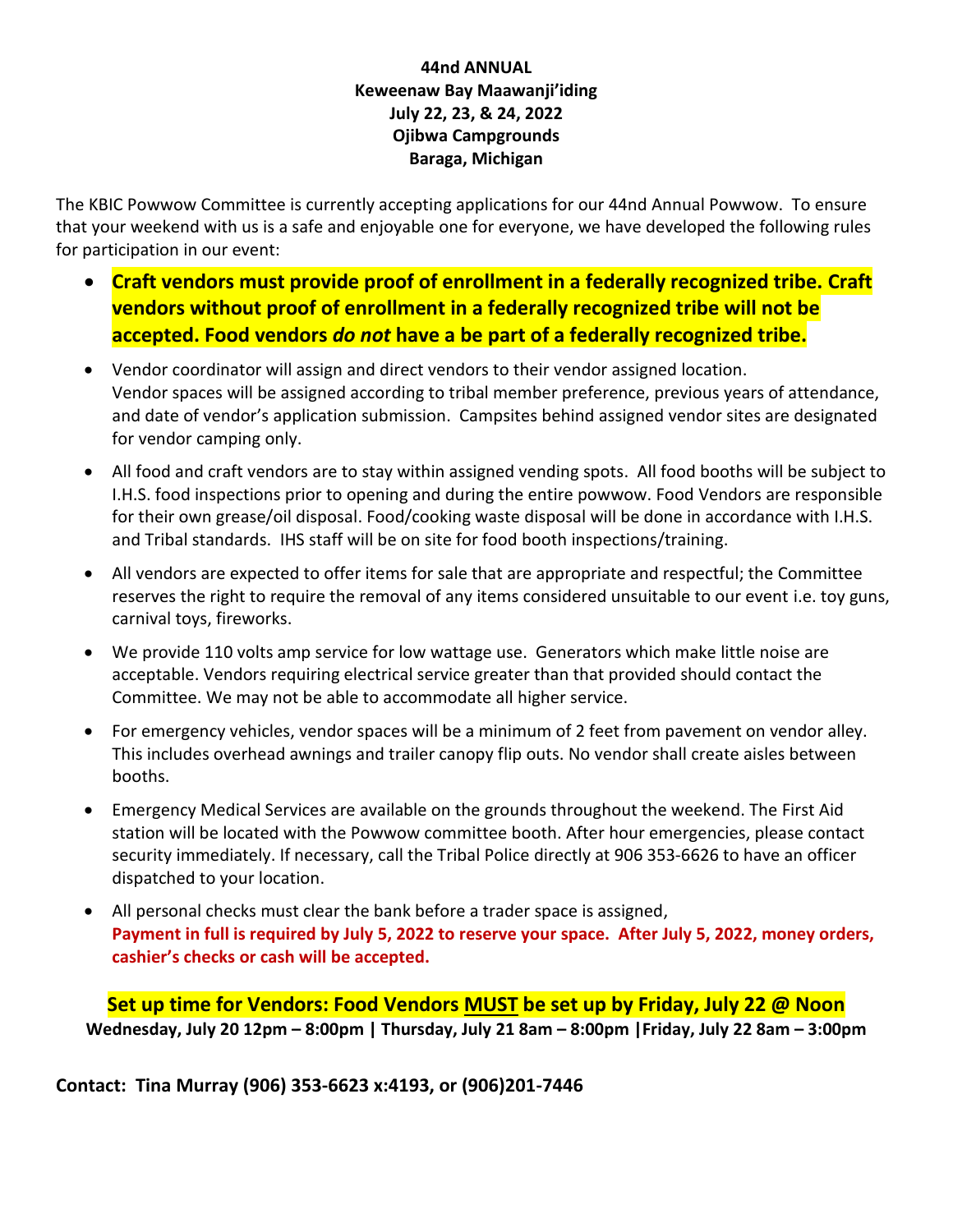## **44nd ANNUAL Keweenaw Bay Maawanji'iding July 22, 23, & 24, 2022 Ojibwa Campgrounds Baraga, Michigan**

The KBIC Powwow Committee is currently accepting applications for our 44nd Annual Powwow. To ensure that your weekend with us is a safe and enjoyable one for everyone, we have developed the following rules for participation in our event:

- **Craft vendors must provide proof of enrollment in a federally recognized tribe. Craft vendors without proof of enrollment in a federally recognized tribe will not be accepted. Food vendors** *do not* **have a be part of a federally recognized tribe.**
- Vendor coordinator will assign and direct vendors to their vendor assigned location. Vendor spaces will be assigned according to tribal member preference, previous years of attendance, and date of vendor's application submission. Campsites behind assigned vendor sites are designated for vendor camping only.
- All food and craft vendors are to stay within assigned vending spots. All food booths will be subject to I.H.S. food inspections prior to opening and during the entire powwow. Food Vendors are responsible for their own grease/oil disposal. Food/cooking waste disposal will be done in accordance with I.H.S. and Tribal standards. IHS staff will be on site for food booth inspections/training.
- All vendors are expected to offer items for sale that are appropriate and respectful; the Committee reserves the right to require the removal of any items considered unsuitable to our event i.e. toy guns, carnival toys, fireworks.
- We provide 110 volts amp service for low wattage use. Generators which make little noise are acceptable. Vendors requiring electrical service greater than that provided should contact the Committee. We may not be able to accommodate all higher service.
- For emergency vehicles, vendor spaces will be a minimum of 2 feet from pavement on vendor alley. This includes overhead awnings and trailer canopy flip outs. No vendor shall create aisles between booths.
- Emergency Medical Services are available on the grounds throughout the weekend. The First Aid station will be located with the Powwow committee booth. After hour emergencies, please contact security immediately. If necessary, call the Tribal Police directly at 906 353-6626 to have an officer dispatched to your location.
- All personal checks must clear the bank before a trader space is assigned, **Payment in full is required by July 5, 2022 to reserve your space. After July 5, 2022, money orders, cashier's checks or cash will be accepted.**

**Set up time for Vendors: Food Vendors MUST be set up by Friday, July 22 @ Noon Wednesday, July 20 12pm – 8:00pm | Thursday, July 21 8am – 8:00pm |Friday, July 22 8am – 3:00pm**

**Contact: Tina Murray (906) 353-6623 x:4193, or (906)201-7446**